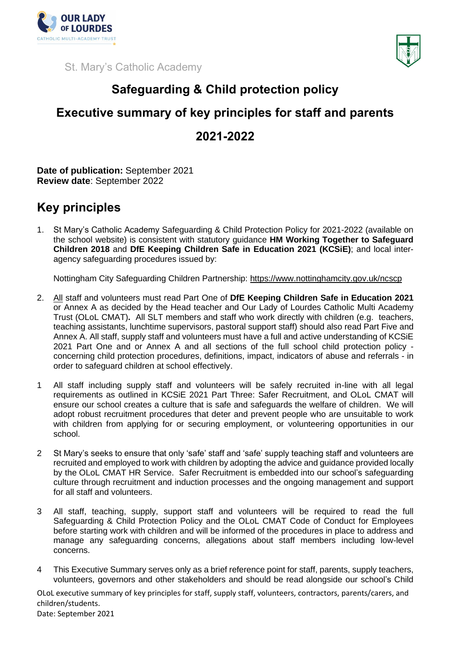

St. Mary's Catholic Academy



## **Safeguarding & Child protection policy**

## **Executive summary of key principles for staff and parents 2021-2022**

**Date of publication:** September 2021 **Review date**: September 2022

## **Key principles**

1. St Mary's Catholic Academy Safeguarding & Child Protection Policy for 2021-2022 (available on the school website) is consistent with statutory guidance **HM Working Together to Safeguard Children 2018** and **DfE Keeping Children Safe in Education 2021 (KCSiE)**; and local interagency safeguarding procedures issued by:

Nottingham City Safeguarding Children Partnership:<https://www.nottinghamcity.gov.uk/ncscp>

- 2. All staff and volunteers must read Part One of **DfE Keeping Children Safe in Education 2021**  or Annex A as decided by the Head teacher and Our Lady of Lourdes Catholic Multi Academy Trust (OLoL CMAT)**.** All SLT members and staff who work directly with children (e.g. teachers, teaching assistants, lunchtime supervisors, pastoral support staff) should also read Part Five and Annex A. All staff, supply staff and volunteers must have a full and active understanding of KCSiE 2021 Part One and or Annex A and all sections of the full school child protection policy concerning child protection procedures, definitions, impact, indicators of abuse and referrals - in order to safeguard children at school effectively.
- 1 All staff including supply staff and volunteers will be safely recruited in-line with all legal requirements as outlined in KCSiE 2021 Part Three: Safer Recruitment, and OLoL CMAT will ensure our school creates a culture that is safe and safeguards the welfare of children. We will adopt robust recruitment procedures that deter and prevent people who are unsuitable to work with children from applying for or securing employment, or volunteering opportunities in our school.
- 2 St Mary's seeks to ensure that only 'safe' staff and 'safe' supply teaching staff and volunteers are recruited and employed to work with children by adopting the advice and guidance provided locally by the OLoL CMAT HR Service. Safer Recruitment is embedded into our school's safeguarding culture through recruitment and induction processes and the ongoing management and support for all staff and volunteers.
- 3 All staff, teaching, supply, support staff and volunteers will be required to read the full Safeguarding & Child Protection Policy and the OLoL CMAT Code of Conduct for Employees before starting work with children and will be informed of the procedures in place to address and manage any safeguarding concerns, allegations about staff members including low-level concerns.
- 4 This Executive Summary serves only as a brief reference point for staff, parents, supply teachers, volunteers, governors and other stakeholders and should be read alongside our school's Child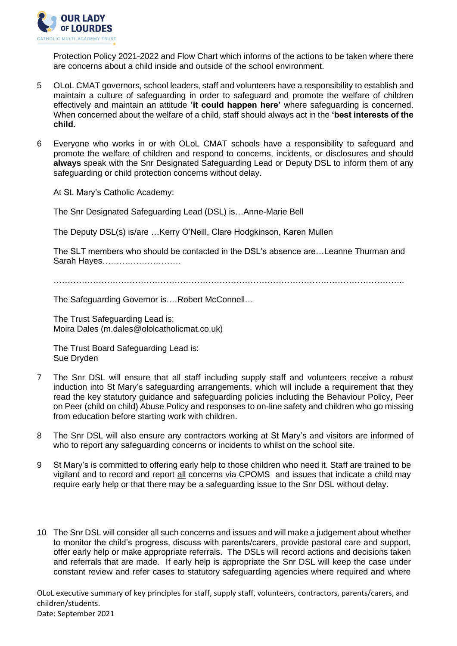

Protection Policy 2021-2022 and Flow Chart which informs of the actions to be taken where there are concerns about a child inside and outside of the school environment.

- 5 OLoL CMAT governors, school leaders, staff and volunteers have a responsibility to establish and maintain a culture of safeguarding in order to safeguard and promote the welfare of children effectively and maintain an attitude **'it could happen here'** where safeguarding is concerned. When concerned about the welfare of a child, staff should always act in the **'best interests of the child.**
- 6 Everyone who works in or with OLoL CMAT schools have a responsibility to safeguard and promote the welfare of children and respond to concerns, incidents, or disclosures and should **always** speak with the Snr Designated Safeguarding Lead or Deputy DSL to inform them of any safeguarding or child protection concerns without delay.

At St. Mary's Catholic Academy:

The Snr Designated Safeguarding Lead (DSL) is…Anne-Marie Bell

The Deputy DSL(s) is/are …Kerry O'Neill, Clare Hodgkinson, Karen Mullen

The SLT members who should be contacted in the DSL's absence are…Leanne Thurman and Sarah Hayes……………………….

 $\mathcal{L}^{\text{max}}_{\text{max}}$ 

The Safeguarding Governor is.…Robert McConnell…

The Trust Safeguarding Lead is: Moira Dales (m.dales@ololcatholicmat.co.uk)

The Trust Board Safeguarding Lead is: Sue Dryden

- 7 The Snr DSL will ensure that all staff including supply staff and volunteers receive a robust induction into St Mary's safeguarding arrangements, which will include a requirement that they read the key statutory guidance and safeguarding policies including the Behaviour Policy, Peer on Peer (child on child) Abuse Policy and responses to on-line safety and children who go missing from education before starting work with children.
- 8 The Snr DSL will also ensure any contractors working at St Mary's and visitors are informed of who to report any safeguarding concerns or incidents to whilst on the school site.
- 9 St Mary's is committed to offering early help to those children who need it. Staff are trained to be vigilant and to record and report all concerns via CPOMS and issues that indicate a child may require early help or that there may be a safeguarding issue to the Snr DSL without delay.
- 10 The Snr DSL will consider all such concerns and issues and will make a judgement about whether to monitor the child's progress, discuss with parents/carers, provide pastoral care and support, offer early help or make appropriate referrals. The DSLs will record actions and decisions taken and referrals that are made. If early help is appropriate the Snr DSL will keep the case under constant review and refer cases to statutory safeguarding agencies where required and where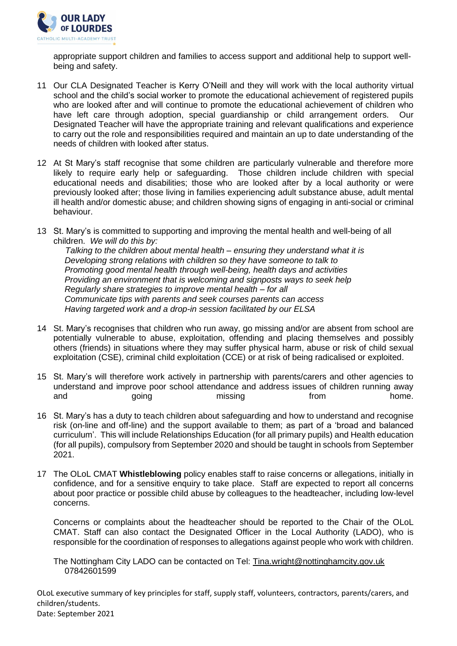

appropriate support children and families to access support and additional help to support wellbeing and safety.

- 11 Our CLA Designated Teacher is Kerry O'Neill and they will work with the local authority virtual school and the child's social worker to promote the educational achievement of registered pupils who are looked after and will continue to promote the educational achievement of children who have left care through adoption, special guardianship or child arrangement orders. Our Designated Teacher will have the appropriate training and relevant qualifications and experience to carry out the role and responsibilities required and maintain an up to date understanding of the needs of children with looked after status.
- 12 At St Mary's staff recognise that some children are particularly vulnerable and therefore more likely to require early help or safeguarding. Those children include children with special educational needs and disabilities; those who are looked after by a local authority or were previously looked after; those living in families experiencing adult substance abuse, adult mental ill health and/or domestic abuse; and children showing signs of engaging in anti-social or criminal behaviour.
- 13 St. Mary's is committed to supporting and improving the mental health and well-being of all children. *We will do this by:*

 *Talking to the children about mental health – ensuring they understand what it is Developing strong relations with children so they have someone to talk to Promoting good mental health through well-being, health days and activities Providing an environment that is welcoming and signposts ways to seek help Regularly share strategies to improve mental health – for all Communicate tips with parents and seek courses parents can access Having targeted work and a drop-in session facilitated by our ELSA*

- 14 St. Mary's recognises that children who run away, go missing and/or are absent from school are potentially vulnerable to abuse, exploitation, offending and placing themselves and possibly others (friends) in situations where they may suffer physical harm, abuse or risk of child sexual exploitation (CSE), criminal child exploitation (CCE) or at risk of being radicalised or exploited.
- 15 St. Mary's will therefore work actively in partnership with parents/carers and other agencies to understand and improve poor school attendance and address issues of children running away and and going missing from home.
- 16 St. Mary's has a duty to teach children about safeguarding and how to understand and recognise risk (on-line and off-line) and the support available to them; as part of a 'broad and balanced curriculum'. This will include Relationships Education (for all primary pupils) and Health education (for all pupils), compulsory from September 2020 and should be taught in schools from September 2021.
- 17 The OLoL CMAT **Whistleblowing** policy enables staff to raise concerns or allegations, initially in confidence, and for a sensitive enquiry to take place. Staff are expected to report all concerns about poor practice or possible child abuse by colleagues to the headteacher, including low-level concerns.

Concerns or complaints about the headteacher should be reported to the Chair of the OLoL CMAT. Staff can also contact the Designated Officer in the Local Authority (LADO), who is responsible for the coordination of responses to allegations against people who work with children.

The Nottingham City LADO can be contacted on Tel: [Tina.wright@nottinghamcity.gov.uk](mailto:Tina.wright@nottinghamcity.gov.uk)  07842601599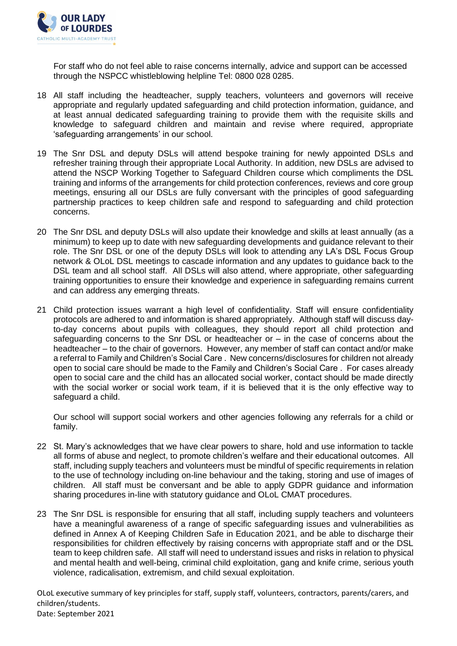

 For staff who do not feel able to raise concerns internally, advice and support can be accessed through the NSPCC whistleblowing helpline Tel: 0800 028 0285.

- 18 All staff including the headteacher, supply teachers, volunteers and governors will receive appropriate and regularly updated safeguarding and child protection information, guidance, and at least annual dedicated safeguarding training to provide them with the requisite skills and knowledge to safeguard children and maintain and revise where required, appropriate 'safeguarding arrangements' in our school.
- 19 The Snr DSL and deputy DSLs will attend bespoke training for newly appointed DSLs and refresher training through their appropriate Local Authority. In addition, new DSLs are advised to attend the NSCP Working Together to Safeguard Children course which compliments the DSL training and informs of the arrangements for child protection conferences, reviews and core group meetings, ensuring all our DSLs are fully conversant with the principles of good safeguarding partnership practices to keep children safe and respond to safeguarding and child protection concerns.
- 20 The Snr DSL and deputy DSLs will also update their knowledge and skills at least annually (as a minimum) to keep up to date with new safeguarding developments and guidance relevant to their role. The Snr DSL or one of the deputy DSLs will look to attending any LA's DSL Focus Group network & OLoL DSL meetings to cascade information and any updates to guidance back to the DSL team and all school staff. All DSLs will also attend, where appropriate, other safeguarding training opportunities to ensure their knowledge and experience in safeguarding remains current and can address any emerging threats.
- 21 Child protection issues warrant a high level of confidentiality. Staff will ensure confidentiality protocols are adhered to and information is shared appropriately. Although staff will discuss dayto-day concerns about pupils with colleagues, they should report all child protection and safeguarding concerns to the Snr DSL or headteacher or  $-$  in the case of concerns about the headteacher – to the chair of governors. However, any member of staff can contact and/or make a referral to Family and Children's Social Care . New concerns/disclosures for children not already open to social care should be made to the Family and Children's Social Care . For cases already open to social care and the child has an allocated social worker, contact should be made directly with the social worker or social work team, if it is believed that it is the only effective way to safeguard a child.

Our school will support social workers and other agencies following any referrals for a child or family.

- 22 St. Mary's acknowledges that we have clear powers to share, hold and use information to tackle all forms of abuse and neglect, to promote children's welfare and their educational outcomes. All staff, including supply teachers and volunteers must be mindful of specific requirements in relation to the use of technology including on-line behaviour and the taking, storing and use of images of children. All staff must be conversant and be able to apply GDPR guidance and information sharing procedures in-line with statutory guidance and OLoL CMAT procedures.
- 23 The Snr DSL is responsible for ensuring that all staff, including supply teachers and volunteers have a meaningful awareness of a range of specific safeguarding issues and vulnerabilities as defined in Annex A of Keeping Children Safe in Education 2021, and be able to discharge their responsibilities for children effectively by raising concerns with appropriate staff and or the DSL team to keep children safe. All staff will need to understand issues and risks in relation to physical and mental health and well-being, criminal child exploitation, gang and knife crime, serious youth violence, radicalisation, extremism, and child sexual exploitation.